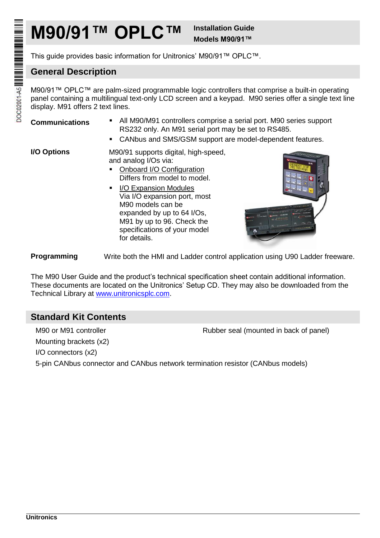# **M90/91™ OPLC™ Installation Guide**

**Models M90/91™**

This guide provides basic information for Unitronics' M90/91™ OPLC™.

# **General Description**

M90/91™ OPLC™ are palm-sized programmable logic controllers that comprise a built-in operating panel containing a multilingual text-only LCD screen and a keypad. M90 series offer a single text line display. M91 offers 2 text lines.

- **Communications** All M90/M91 controllers comprise a serial port. M90 series support RS232 only. An M91 serial port may be set to RS485.
	- CANbus and SMS/GSM support are model-dependent features.

**I/O Options** M90/91 supports digital, high-speed, and analog I/Os via:

- Onboard I/O Configuration Differs from model to model.
- **I** I/O Expansion Modules Via I/O expansion port, most M90 models can be expanded by up to 64 I/Os, M91 by up to 96. Check the specifications of your model for details.



**Programming** Write both the HMI and Ladder control application using U90 Ladder freeware.

The M90 User Guide and the product's technical specification sheet contain additional information. These documents are located on the Unitronics' Setup CD. They may also be downloaded from the Technical Library at [www.unitronicsplc.com.](http://www.unitronicsplc.com/)

# **Standard Kit Contents**

M90 or M91 controller **Rubber seal (mounted in back of panel)** Mounting brackets (x2) I/O connectors (x2) 5-pin CANbus connector and CANbus network termination resistor (CANbus models)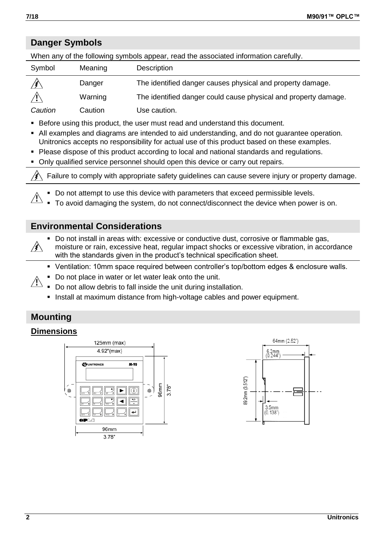# **Danger Symbols**

When any of the following symbols appear, read the associated information carefully.

| Symbol  | Meaning | Description                                                     |
|---------|---------|-----------------------------------------------------------------|
|         | Danger  | The identified danger causes physical and property damage.      |
|         | Warning | The identified danger could cause physical and property damage. |
| Caution | Caution | Use caution.                                                    |

- Before using this product, the user must read and understand this document.
- All examples and diagrams are intended to aid understanding, and do not guarantee operation. Unitronics accepts no responsibility for actual use of this product based on these examples.
- Please dispose of this product according to local and national standards and regulations.
- Only qualified service personnel should open this device or carry out repairs.

Failure to comply with appropriate safety guidelines can cause severe injury or property damage. /≩

Do not attempt to use this device with parameters that exceed permissible levels.

To avoid damaging the system, do not connect/disconnect the device when power is on.

## **Environmental Considerations**

- Do not install in areas with: excessive or conductive dust, corrosive or flammable gas,
- moisture or rain, excessive heat, regular impact shocks or excessive vibration, in accordance with the standards given in the product's technical specification sheet.
- Ventilation: 10mm space required between controller's top/bottom edges & enclosure walls.
- Do not place in water or let water leak onto the unit.
- $\sqrt{1}$ Do not allow debris to fall inside the unit during installation.
	- Install at maximum distance from high-voltage cables and power equipment.

# **Mounting**

## **Dimensions**





 $\sqrt{1}$ 

∕≸∖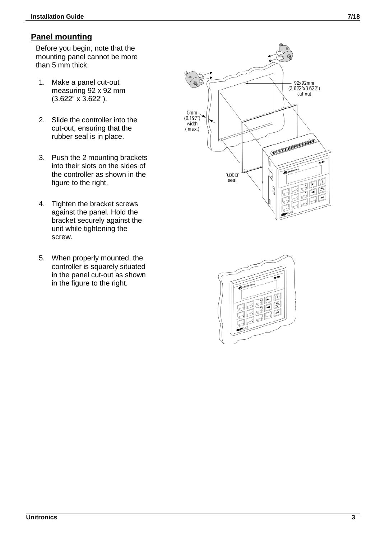# **Panel mounting**

Before you begin, note that the mounting panel cannot be more than 5 mm thick.

- 1. Make a panel cut-out measuring 92 x 92 mm (3.622" x 3.622").
- 2. Slide the controller into the cut-out, ensuring that the rubber seal is in place.
- 3. Push the 2 mounting brackets into their slots on the sides of the controller as shown in the figure to the right.
- 4. Tighten the bracket screws against the panel. Hold the bracket securely against the unit while tightening the screw.
- 5. When properly mounted, the controller is squarely situated in the panel cut-out as shown in the figure to the right.



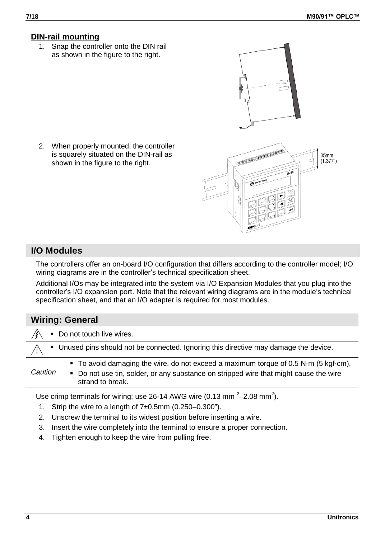## **DIN-rail mounting**

1. Snap the controller onto the DIN rail as shown in the figure to the right.

2. When properly mounted, the controller is squarely situated on the DIN-rail as shown in the figure to the right.

# **I/O Modules**

The controllers offer an on-board I/O configuration that differs according to the controller model; I/O wiring diagrams are in the controller's technical specification sheet.

Additional I/Os may be integrated into the system via I/O Expansion Modules that you plug into the controller's I/O expansion port. Note that the relevant wiring diagrams are in the module's technical specification sheet, and that an I/O adapter is required for most modules.

# **Wiring: General**



Use crimp terminals for wiring; use 26-14 AWG wire (0.13 mm  $^{2}$  - 2.08 mm<sup>2</sup>).

- 1. Strip the wire to a length of 7±0.5mm (0.250–0.300").
- 2. Unscrew the terminal to its widest position before inserting a wire.
- 3. Insert the wire completely into the terminal to ensure a proper connection.
- 4. Tighten enough to keep the wire from pulling free.

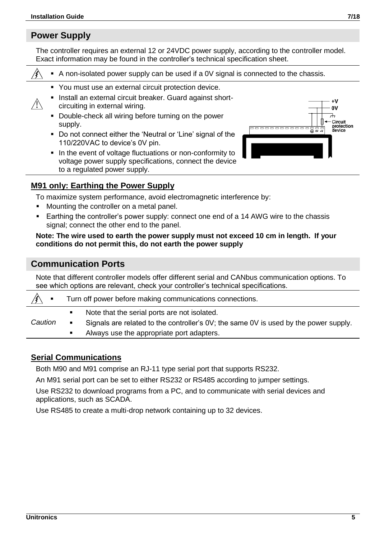# **Power Supply**

仱

The controller requires an external 12 or 24VDC power supply, according to the controller model. Exact information may be found in the controller's technical specification sheet.

A non-isolated power supply can be used if a 0V signal is connected to the chassis.

- You must use an external circuit protection device.
- Install an external circuit breaker. Guard against shortcircuiting in external wiring.
- Double-check all wiring before turning on the power supply.
- Do not connect either the 'Neutral or 'Line' signal of the 110/220VAC to device's 0V pin.
- In the event of voltage fluctuations or non-conformity to voltage power supply specifications, connect the device to a regulated power supply.



#### **M91 only: Earthing the Power Supply**

To maximize system performance, avoid electromagnetic interference by:

- Mounting the controller on a metal panel.
- Earthing the controller's power supply: connect one end of a 14 AWG wire to the chassis signal; connect the other end to the panel.

#### **Note: The wire used to earth the power supply must not exceed 10 cm in length. If your conditions do not permit this, do not earth the power supply**

## **Communication Ports**

Note that different controller models offer different serial and CANbus communication options. To see which options are relevant, check your controller's technical specifications.

| $\blacksquare$ | Turn off power before making communications connections. |                                                                                      |  |  |  |
|----------------|----------------------------------------------------------|--------------------------------------------------------------------------------------|--|--|--|
|                |                                                          | Note that the serial ports are not isolated.                                         |  |  |  |
| Caution        |                                                          | Signals are related to the controller's 0V; the same 0V is used by the power supply. |  |  |  |
|                |                                                          | Always use the appropriate port adapters.                                            |  |  |  |

## **Serial Communications**

Both M90 and M91 comprise an RJ-11 type serial port that supports RS232.

An M91 serial port can be set to either RS232 or RS485 according to jumper settings.

Use RS232 to download programs from a PC, and to communicate with serial devices and applications, such as SCADA.

Use RS485 to create a multi-drop network containing up to 32 devices.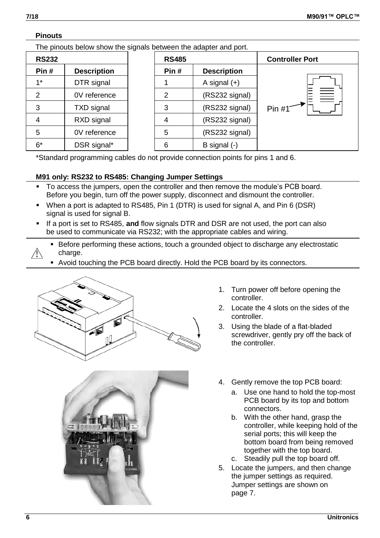#### **Pinouts**

The pinouts below show the signals between the adapter and port.

| <b>RS232</b>   |                    | <b>RS485</b> |                    | <b>Controller Port</b> |  |
|----------------|--------------------|--------------|--------------------|------------------------|--|
| Pin#           | <b>Description</b> | Pin#         | <b>Description</b> |                        |  |
| $1*$           | DTR signal         |              | A signal $(+)$     |                        |  |
| $\overline{2}$ | 0V reference       | 2            | (RS232 signal)     | 量                      |  |
| 3              | <b>TXD</b> signal  | 3            | (RS232 signal)     | Pin $#1$               |  |
| 4              | RXD signal         | 4            | (RS232 signal)     |                        |  |
| 5              | 0V reference       | 5            | (RS232 signal)     |                        |  |
| $6*$           | DSR signal*        | 6            | B signal $(-)$     |                        |  |

\*Standard programming cables do not provide connection points for pins 1 and 6.

#### **M91 only: RS232 to RS485: Changing Jumper Settings**

- To access the jumpers, open the controller and then remove the module's PCB board. Before you begin, turn off the power supply, disconnect and dismount the controller.
- When a port is adapted to RS485, Pin 1 (DTR) is used for signal A, and Pin 6 (DSR) signal is used for signal B.
- If a port is set to RS485, **and** flow signals DTR and DSR are not used, the port can also be used to communicate via RS232; with the appropriate cables and wiring.
- Before performing these actions, touch a grounded object to discharge any electrostatic charge. ЛN
	- Avoid touching the PCB board directly. Hold the PCB board by its connectors.





- 1. Turn power off before opening the controller.
- 2. Locate the 4 slots on the sides of the controller.
- 3. Using the blade of a flat-bladed screwdriver, gently pry off the back of the controller.
- 4. Gently remove the top PCB board:
	- a. Use one hand to hold the top-most PCB board by its top and bottom connectors.
	- b. With the other hand, grasp the controller, while keeping hold of the serial ports; this will keep the bottom board from being removed together with the top board. c. Steadily pull the top board off.
- 5. Locate the jumpers, and then change the jumper settings as required. Jumper settings are shown on page [7.](#page-6-0)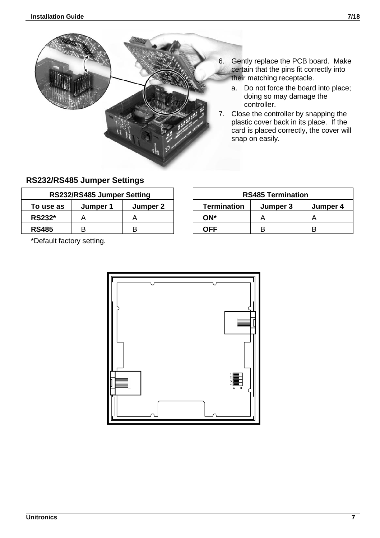

- 6. Gently replace the PCB board. Make certain that the pins fit correctly into
	- their matching receptacle. a. Do not force the board into place; doing so may damage the controller.
- 7. Close the controller by snapping the plastic cover back in its place. If the card is placed correctly, the cover will snap on easily.

# <span id="page-6-0"></span>**RS232/RS485 Jumper Settings**

| RS232/RS485 Jumper Setting |          |          | <b>RS485 Termination</b> |          |   |
|----------------------------|----------|----------|--------------------------|----------|---|
| To use as                  | Jumper 1 | Jumper 2 | <b>Termination</b>       | Jumper 3 |   |
| <b>RS232*</b>              |          |          | ON*                      |          |   |
| <b>RS485</b>               |          |          | OFF                      |          | в |

**RS232/RS485 Jumper Setting RS485 Termination To use as Jumper 1 Jumper 2 Termination Jumper 3 Jumper 4**

\*Default factory setting.